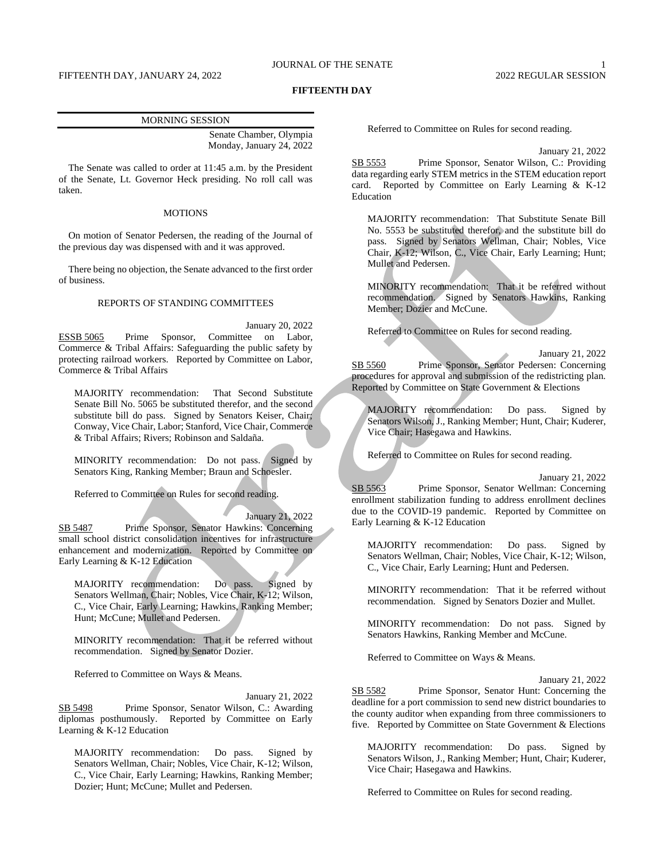#### **FIFTEENTH DAY**

#### MORNING SESSION

Senate Chamber, Olympia Monday, January 24, 2022

The Senate was called to order at 11:45 a.m. by the President of the Senate, Lt. Governor Heck presiding. No roll call was taken.

## MOTIONS

On motion of Senator Pedersen, the reading of the Journal of the previous day was dispensed with and it was approved.

There being no objection, the Senate advanced to the first order of business.

## REPORTS OF STANDING COMMITTEES

January 20, 2022 ESSB 5065 Prime Sponsor, Committee on Labor, Commerce & Tribal Affairs: Safeguarding the public safety by protecting railroad workers. Reported by Committee on Labor, Commerce & Tribal Affairs

MAJORITY recommendation: That Second Substitute Senate Bill No. 5065 be substituted therefor, and the second substitute bill do pass. Signed by Senators Keiser, Chair; Conway, Vice Chair, Labor; Stanford, Vice Chair, Commerce & Tribal Affairs; Rivers; Robinson and Saldaña.

MINORITY recommendation: Do not pass. Signed by Senators King, Ranking Member; Braun and Schoesler.

Referred to Committee on Rules for second reading.

## January 21, 2022

SB 5487 Prime Sponsor, Senator Hawkins: Concerning small school district consolidation incentives for infrastructure enhancement and modernization. Reported by Committee on Early Learning & K-12 Education

MAJORITY recommendation: Do pass. Signed by Senators Wellman, Chair; Nobles, Vice Chair, K-12; Wilson, C., Vice Chair, Early Learning; Hawkins, Ranking Member; Hunt; McCune; Mullet and Pedersen.

MINORITY recommendation: That it be referred without recommendation. Signed by Senator Dozier.

Referred to Committee on Ways & Means.

January 21, 2022 SB 5498 Prime Sponsor, Senator Wilson, C.: Awarding diplomas posthumously. Reported by Committee on Early Learning & K-12 Education

MAJORITY recommendation: Do pass. Signed by Senators Wellman, Chair; Nobles, Vice Chair, K-12; Wilson, C., Vice Chair, Early Learning; Hawkins, Ranking Member; Dozier; Hunt; McCune; Mullet and Pedersen.

Referred to Committee on Rules for second reading.

January 21, 2022

SB 5553 Prime Sponsor, Senator Wilson, C.: Providing data regarding early STEM metrics in the STEM education report card. Reported by Committee on Early Learning & K-12 Education

MAJORITY recommendation: That Substitute Senate Bill No. 5553 be substituted therefor, and the substitute bill do pass. Signed by Senators Wellman, Chair; Nobles, Vice Chair, K-12; Wilson, C., Vice Chair, Early Learning; Hunt; Mullet and Pedersen.

MINORITY recommendation: That it be referred without recommendation. Signed by Senators Hawkins, Ranking Member; Dozier and McCune.

Referred to Committee on Rules for second reading.

January 21, 2022 SB 5560 Prime Sponsor, Senator Pedersen: Concerning procedures for approval and submission of the redistricting plan. Reported by Committee on State Government & Elections

MAJORITY recommendation: Do pass. Signed by Senators Wilson, J., Ranking Member; Hunt, Chair; Kuderer, Vice Chair; Hasegawa and Hawkins.

Referred to Committee on Rules for second reading.

January 21, 2022

SB 5563 Prime Sponsor, Senator Wellman: Concerning enrollment stabilization funding to address enrollment declines due to the COVID-19 pandemic. Reported by Committee on Early Learning & K-12 Education

MAJORITY recommendation: Do pass. Signed by Senators Wellman, Chair; Nobles, Vice Chair, K-12; Wilson, C., Vice Chair, Early Learning; Hunt and Pedersen.

MINORITY recommendation: That it be referred without recommendation. Signed by Senators Dozier and Mullet.

MINORITY recommendation: Do not pass. Signed by Senators Hawkins, Ranking Member and McCune.

Referred to Committee on Ways & Means.

January 21, 2022 SB 5582 Prime Sponsor, Senator Hunt: Concerning the deadline for a port commission to send new district boundaries to the county auditor when expanding from three commissioners to five. Reported by Committee on State Government & Elections

MAJORITY recommendation: Do pass. Signed by Senators Wilson, J., Ranking Member; Hunt, Chair; Kuderer, Vice Chair; Hasegawa and Hawkins.

Referred to Committee on Rules for second reading.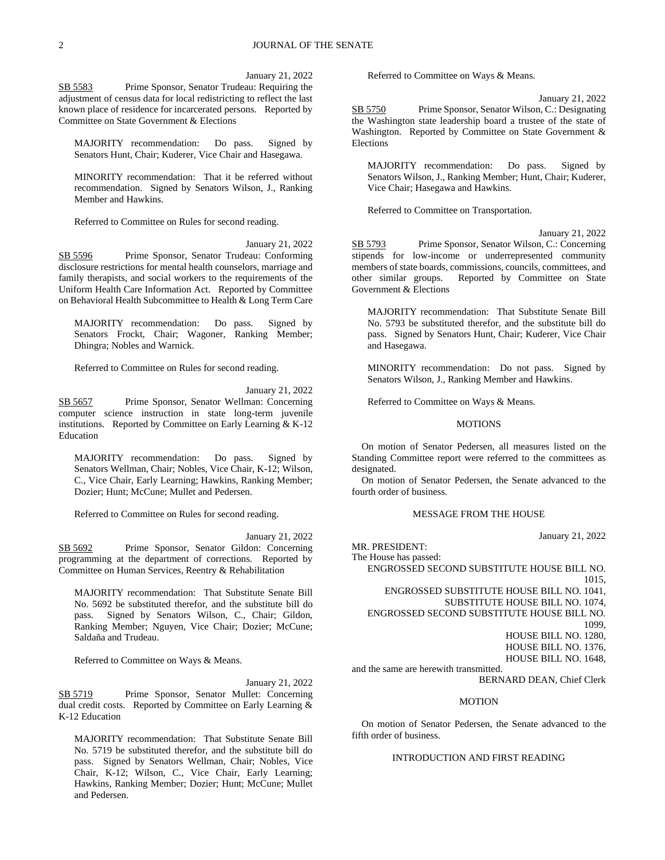January 21, 2022

SB 5583 Prime Sponsor, Senator Trudeau: Requiring the adjustment of census data for local redistricting to reflect the last known place of residence for incarcerated persons. Reported by Committee on State Government & Elections

MAJORITY recommendation: Do pass. Signed by Senators Hunt, Chair; Kuderer, Vice Chair and Hasegawa.

MINORITY recommendation: That it be referred without recommendation. Signed by Senators Wilson, J., Ranking Member and Hawkins.

Referred to Committee on Rules for second reading.

January 21, 2022

SB 5596 Prime Sponsor, Senator Trudeau: Conforming disclosure restrictions for mental health counselors, marriage and family therapists, and social workers to the requirements of the Uniform Health Care Information Act. Reported by Committee on Behavioral Health Subcommittee to Health & Long Term Care

MAJORITY recommendation: Do pass. Signed by Senators Frockt, Chair; Wagoner, Ranking Member; Dhingra; Nobles and Warnick.

Referred to Committee on Rules for second reading.

January 21, 2022

SB 5657 Prime Sponsor, Senator Wellman: Concerning computer science instruction in state long-term juvenile institutions. Reported by Committee on Early Learning & K-12 Education

MAJORITY recommendation: Do pass. Signed by Senators Wellman, Chair; Nobles, Vice Chair, K-12; Wilson, C., Vice Chair, Early Learning; Hawkins, Ranking Member; Dozier; Hunt; McCune; Mullet and Pedersen.

Referred to Committee on Rules for second reading.

January 21, 2022 SB 5692 Prime Sponsor, Senator Gildon: Concerning programming at the department of corrections. Reported by

Committee on Human Services, Reentry & Rehabilitation

MAJORITY recommendation: That Substitute Senate Bill No. 5692 be substituted therefor, and the substitute bill do pass. Signed by Senators Wilson, C., Chair; Gildon, Ranking Member; Nguyen, Vice Chair; Dozier; McCune; Saldaña and Trudeau.

Referred to Committee on Ways & Means.

January 21, 2022 SB 5719 Prime Sponsor, Senator Mullet: Concerning dual credit costs. Reported by Committee on Early Learning & K-12 Education

MAJORITY recommendation: That Substitute Senate Bill No. 5719 be substituted therefor, and the substitute bill do pass. Signed by Senators Wellman, Chair; Nobles, Vice Chair, K-12; Wilson, C., Vice Chair, Early Learning; Hawkins, Ranking Member; Dozier; Hunt; McCune; Mullet and Pedersen.

Referred to Committee on Ways & Means.

January 21, 2022 SB 5750 Prime Sponsor, Senator Wilson, C.: Designating the Washington state leadership board a trustee of the state of Washington. Reported by Committee on State Government & Elections

MAJORITY recommendation: Do pass. Signed by Senators Wilson, J., Ranking Member; Hunt, Chair; Kuderer, Vice Chair; Hasegawa and Hawkins.

Referred to Committee on Transportation.

January 21, 2022 SB 5793 Prime Sponsor, Senator Wilson, C.: Concerning stipends for low-income or underrepresented community members of state boards, commissions, councils, committees, and other similar groups. Reported by Committee on State Government & Elections

MAJORITY recommendation: That Substitute Senate Bill No. 5793 be substituted therefor, and the substitute bill do pass. Signed by Senators Hunt, Chair; Kuderer, Vice Chair and Hasegawa.

MINORITY recommendation: Do not pass. Signed by Senators Wilson, J., Ranking Member and Hawkins.

Referred to Committee on Ways & Means.

## **MOTIONS**

On motion of Senator Pedersen, all measures listed on the Standing Committee report were referred to the committees as designated.

On motion of Senator Pedersen, the Senate advanced to the fourth order of business.

#### MESSAGE FROM THE HOUSE

January 21, 2022

MR. PRESIDENT: The House has passed: ENGROSSED SECOND SUBSTITUTE HOUSE BILL NO. 1015, ENGROSSED SUBSTITUTE HOUSE BILL NO. 1041, SUBSTITUTE HOUSE BILL NO. 1074, ENGROSSED SECOND SUBSTITUTE HOUSE BILL NO. 1099, HOUSE BILL NO. 1280, HOUSE BILL NO. 1376, HOUSE BILL NO. 1648, and the same are herewith transmitted.

BERNARD DEAN, Chief Clerk

#### MOTION

On motion of Senator Pedersen, the Senate advanced to the fifth order of business.

# INTRODUCTION AND FIRST READING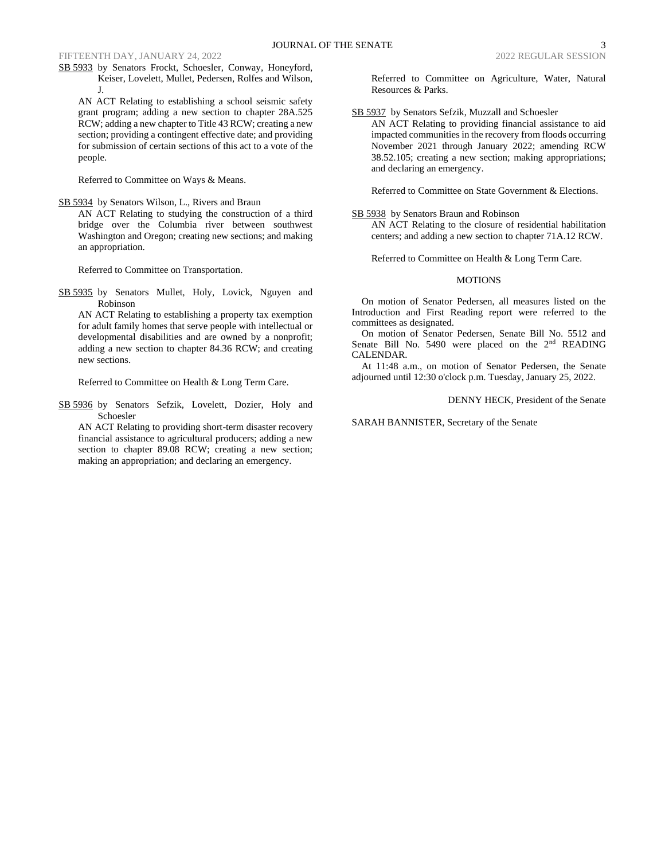# FIFTEENTH DAY, JANUARY 24, 2022 2022 2022 2022 REGULAR SESSION

SB 5933 by Senators Frockt, Schoesler, Conway, Honeyford, Keiser, Lovelett, Mullet, Pedersen, Rolfes and Wilson, J.

AN ACT Relating to establishing a school seismic safety grant program; adding a new section to chapter 28A.525 RCW; adding a new chapter to Title 43 RCW; creating a new section; providing a contingent effective date; and providing for submission of certain sections of this act to a vote of the people.

Referred to Committee on Ways & Means.

SB 5934 by Senators Wilson, L., Rivers and Braun AN ACT Relating to studying the construction of a third bridge over the Columbia river between southwest Washington and Oregon; creating new sections; and making an appropriation.

Referred to Committee on Transportation.

SB 5935 by Senators Mullet, Holy, Lovick, Nguyen and Robinson

AN ACT Relating to establishing a property tax exemption for adult family homes that serve people with intellectual or developmental disabilities and are owned by a nonprofit; adding a new section to chapter 84.36 RCW; and creating new sections.

Referred to Committee on Health & Long Term Care.

SB 5936 by Senators Sefzik, Lovelett, Dozier, Holy and Schoesler

AN ACT Relating to providing short-term disaster recovery financial assistance to agricultural producers; adding a new section to chapter 89.08 RCW; creating a new section; making an appropriation; and declaring an emergency.

Referred to Committee on Agriculture, Water, Natural Resources & Parks.

#### SB 5937 by Senators Sefzik, Muzzall and Schoesler

AN ACT Relating to providing financial assistance to aid impacted communities in the recovery from floods occurring November 2021 through January 2022; amending RCW 38.52.105; creating a new section; making appropriations; and declaring an emergency.

Referred to Committee on State Government & Elections.

SB 5938 by Senators Braun and Robinson

AN ACT Relating to the closure of residential habilitation centers; and adding a new section to chapter 71A.12 RCW.

Referred to Committee on Health & Long Term Care.

#### **MOTIONS**

On motion of Senator Pedersen, all measures listed on the Introduction and First Reading report were referred to the committees as designated.

On motion of Senator Pedersen, Senate Bill No. 5512 and Senate Bill No. 5490 were placed on the 2<sup>nd</sup> READING CALENDAR.

At 11:48 a.m., on motion of Senator Pedersen, the Senate adjourned until 12:30 o'clock p.m. Tuesday, January 25, 2022.

DENNY HECK, President of the Senate

SARAH BANNISTER, Secretary of the Senate